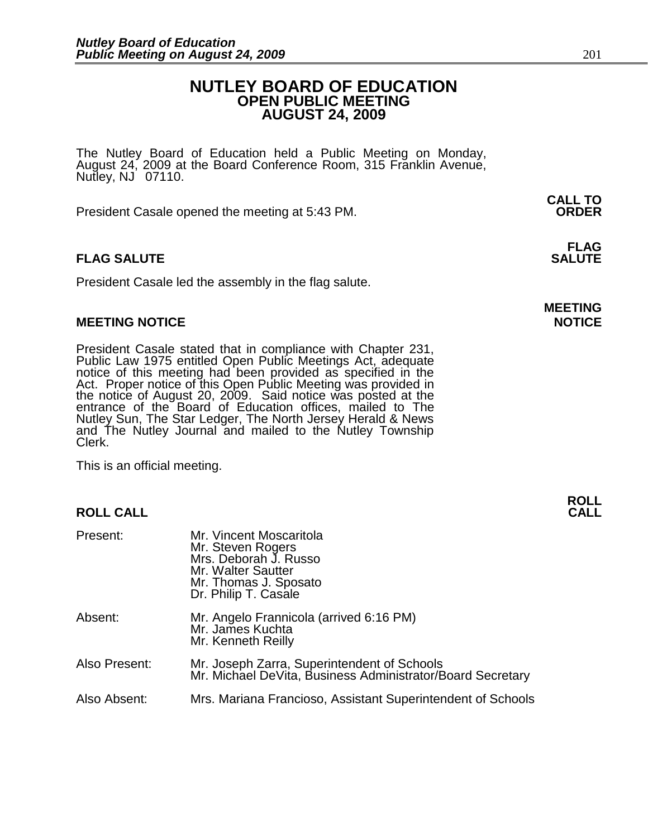### **NUTLEY BOARD OF EDUCATION OPEN PUBLIC MEETING AUGUST 24, 2009**

The Nutley Board of Education held a Public Meeting on Monday, August 24, 2009 at the Board Conference Room, 315 Franklin Avenue, Nutley, NJ 07110.

 **CALL TO**  President Casale opened the meeting at 5:43 PM. **ORDER**

### **FLAG FLAG SALUTE** SALUTE SALUTE SALUTE SALUTE SALUTE

President Casale led the assembly in the flag salute.

### **MEETING NOTICE NOTICE**

President Casale stated that in compliance with Chapter 231, Public Law 1975 entitled Open Public Meetings Act, adequate notice of this meeting had been provided as specified in the Act. Proper notice of this Open Public Meeting was provided in the notice of August 20, 2009. Said notice was posted at the entrance of the Board of Education offices, mailed to The Nutley Sun, The Star Ledger, The North Jersey Herald & News and The Nutley Journal and mailed to the Nutley Township Clerk.

This is an official meeting.

### **ROLL CALL**

| Present:      | Mr. Vincent Moscaritola<br>Mr. Steven Rogers<br>Mrs. Deborah J. Russo<br>Mr. Walter Sautter<br>Mr. Thomas J. Sposato<br>Dr. Philip T. Casale |
|---------------|----------------------------------------------------------------------------------------------------------------------------------------------|
| Absent:       | Mr. Angelo Frannicola (arrived 6:16 PM)<br>Mr. James Kuchta<br>Mr. Kenneth Reilly                                                            |
| Also Present: | Mr. Joseph Zarra, Superintendent of Schools<br>Mr. Michael DeVita, Business Administrator/Board Secretary                                    |
| Also Absent:  | Mrs. Mariana Francioso, Assistant Superintendent of Schools                                                                                  |

**MEETING**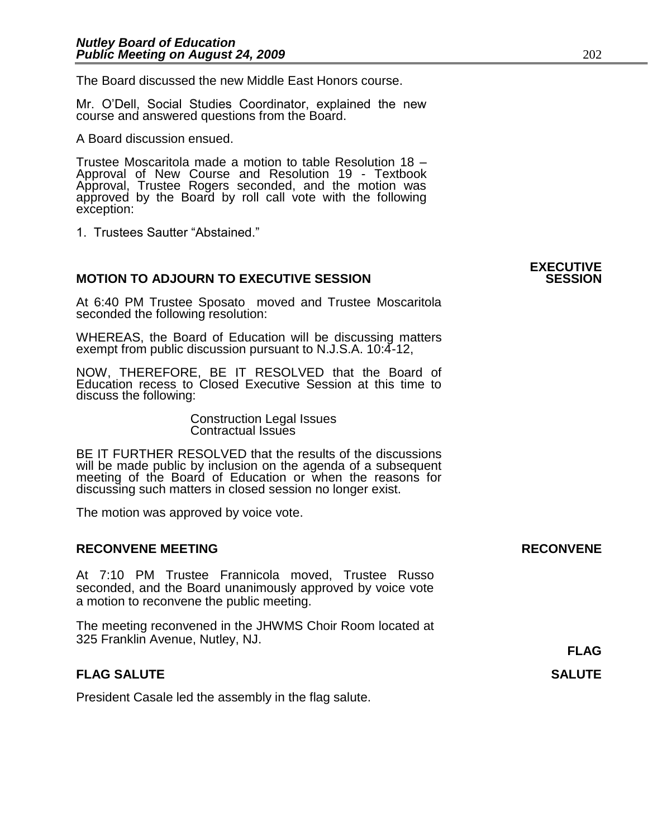The Board discussed the new Middle East Honors course.

Mr. O'Dell, Social Studies Coordinator, explained the new course and answered questions from the Board.

A Board discussion ensued.

Trustee Moscaritola made a motion to table Resolution 18 – Approval of New Course and Resolution 19 - Textbook Approval, Trustee Rogers seconded, and the motion was approved by the Board by roll call vote with the following exception:

1. Trustees Sautter "Abstained."

## **EXECUTIVE MOTION TO ADJOURN TO EXECUTIVE SESSION** At 6:40 PM Trustee Sposato moved and Trustee Moscaritola seconded the following resolution: WHEREAS, the Board of Education will be discussing matters exempt from public discussion pursuant to N.J.S.A. 10:4-12, NOW, THEREFORE, BE IT RESOLVED that the Board of Education recess to Closed Executive Session at this time to discuss the following: Construction Legal Issues Contractual Issues BE IT FURTHER RESOLVED that the results of the discussions will be made public by inclusion on the agenda of a subsequent meeting of the Board of Education or when the reasons for discussing such matters in closed session no longer exist. The motion was approved by voice vote. **RECONVENE MEETING RECONVENE** At 7:10 PM Trustee Frannicola moved, Trustee Russo seconded, and the Board unanimously approved by voice vote a motion to reconvene the public meeting. The meeting reconvened in the JHWMS Choir Room located at 325 Franklin Avenue, Nutley, NJ. **FLAG FLAG SALUTE** SALUTE SALUTE SALUTE SALUTE SALUTE SALUTE SALUTE SALUTE SALUTE SALUTE SALUTE SALUTE SALUTE SALUTE SALUTE SALUTE SALUTE SALUTE SALUTE SALUTE SALUTE SALUTE SALUTE SALUTE SALUTE SALUTE SALUTE SALUTE SALUTE SALUT President Casale led the assembly in the flag salute.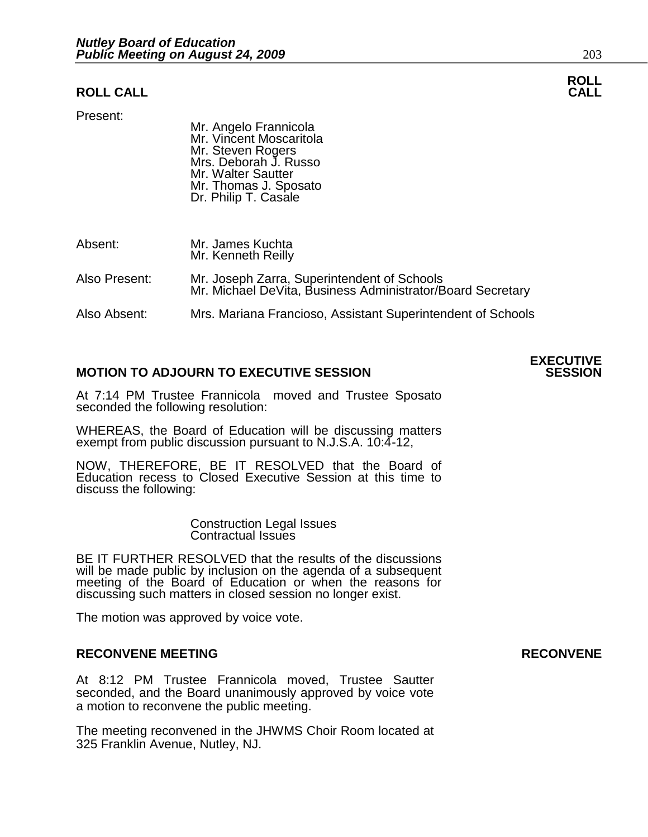### **ROLL CALL CALL**

Present:

 Mr. Angelo Frannicola Mr. Vincent Moscaritola Mr. Steven Rogers Mrs. Deborah J. Russo Mr. Walter Sautter Mr. Thomas J. Sposato Dr. Philip T. Casale

Absent: Mr. James Kuchta Mr. Kenneth Reilly Also Present: Mr. Joseph Zarra, Superintendent of Schools Mr. Michael DeVita, Business Administrator/Board Secretary

Also Absent: Mrs. Mariana Francioso, Assistant Superintendent of Schools

### **MOTION TO ADJOURN TO EXECUTIVE SESSION**

At 7:14 PM Trustee Frannicola moved and Trustee Sposato seconded the following resolution:

WHEREAS, the Board of Education will be discussing matters exempt from public discussion pursuant to N.J.S.A. 10:4-12,

NOW, THEREFORE, BE IT RESOLVED that the Board of Education recess to Closed Executive Session at this time to discuss the following:

> Construction Legal Issues Contractual Issues

BE IT FURTHER RESOLVED that the results of the discussions will be made public by inclusion on the agenda of a subsequent meeting of the Board of Education or when the reasons for discussing such matters in closed session no longer exist. 

The motion was approved by voice vote.

### **RECONVENE MEETING RECONVENE**

At 8:12 PM Trustee Frannicola moved, Trustee Sautter seconded, and the Board unanimously approved by voice vote a motion to reconvene the public meeting.

The meeting reconvened in the JHWMS Choir Room located at 325 Franklin Avenue, Nutley, NJ.



**ROLL**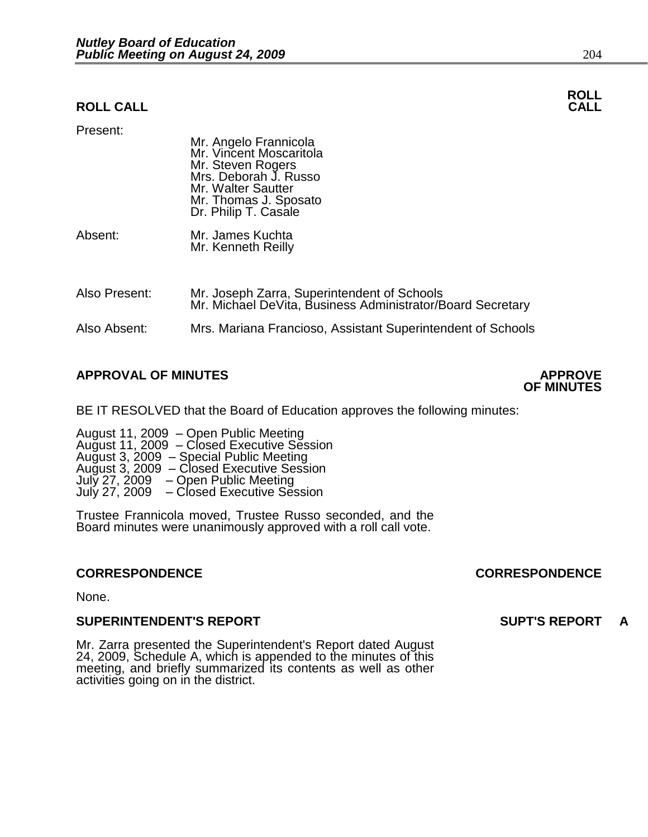### **ROLL CALL CALL**

| Present:      | Mr. Angelo Frannicola<br>Mr. Vincent Moscaritola<br>Mr. Steven Rogers<br>Mrs. Deborah J. Russo<br>Mr. Walter Sautter<br>Mr. Thomas J. Sposato<br>Dr. Philip T. Casale |
|---------------|-----------------------------------------------------------------------------------------------------------------------------------------------------------------------|
| Absent:       | Mr. James Kuchta<br>Mr. Kenneth Reilly                                                                                                                                |
| Also Present: | Mr. Joseph Zarra, Superintendent of Schools<br>Mr. Michael DeVita, Business Administrator/Board Secretary                                                             |
| Also Absent:  | Mrs. Mariana Francioso, Assistant Superintendent of Schools                                                                                                           |

### **APPROVAL OF MINUTES APPROVE**

BE IT RESOLVED that the Board of Education approves the following minutes:

 August 11, 2009 – Open Public Meeting – Closed Executive Session August 3, 2009 – Special Public Meeting – Closed Executive Session July 27, 2009 – Open Public Meeting – Closed Executive Session

> Trustee Frannicola moved, Trustee Russo seconded, and the Board minutes were unanimously approved with a roll call vote.

None.

### **SUPERINTENDENT'S REPORT SUPT'S REPORT A**

Mr. Zarra presented the Superintendent's Report dated August 24, 2009, Schedule A, which is appended to the minutes of this meeting, and briefly summarized its contents as well as other activities going on in the district.

### **CORRESPONDENCE CORRESPONDENCE**

**OF MINUTES** 

**ROLL**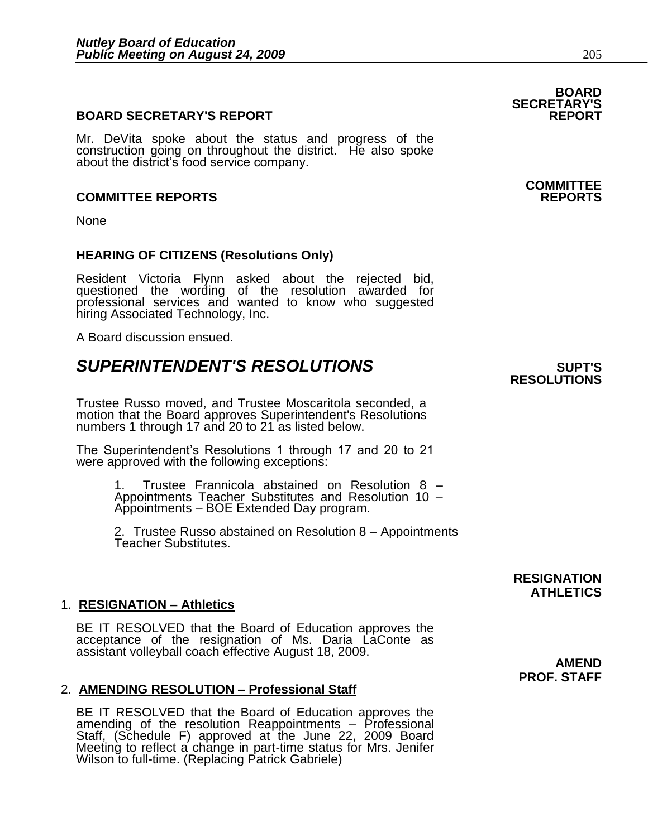### **BOARD SECRETARY'S REPORT**

Mr. DeVita spoke about the status and progress of the construction going on throughout the district. He also spoke about the district's food service company.

### **COMMITTEE REPORTS REPORTS**

None

### **HEARING OF CITIZENS (Resolutions Only)**

Resident Victoria Flynn asked about the rejected bid, questioned the wording of the resolution awarded for professional services and wanted to know who suggested hiring Associated Technology, Inc.

A Board discussion ensued.

## **SUPERINTENDENT'S RESOLUTIONS** *SUPERINTENDENT'S*

Trustee Russo moved, and Trustee Moscaritola seconded, a motion that the Board approves Superintendent's Resolutions numbers 1 through 17 and 20 to 21 as listed below.

The Superintendent's Resolutions 1 through 17 and 20 to 21 were approved with the following exceptions:

> 1. Trustee Frannicola abstained on Resolution 8 – Appointments Teacher Substitutes and Resolution 10 – Appointments – BOE Extended Day program.

2. Trustee Russo abstained on Resolution 8 – Appointments Teacher Substitutes.

### 1. **RESIGNATION – Athletics**

BE IT RESOLVED that the Board of Education approves the acceptance of the resignation of Ms. Daria LaConte as assistant volleyball coach effective August 18, 2009.

### 2. **AMENDING RESOLUTION – Professional Staff**

BE IT RESOLVED that the Board of Education approves the amending of the resolution Reappointments – Professional Staff, (Schedule F) approved at the June 22, 2009 Board Meeting to reflect a change in part-time status for Mrs. Jenifer Wilson to full-time. (Replacing Patrick Gabriele)

## **BOARD SECRETARY'S**

# **COMMITTEE**

# **RESOLUTIONS**

**RESIGNATION ATHLETICS** 

**AMEND PROF. STAFF**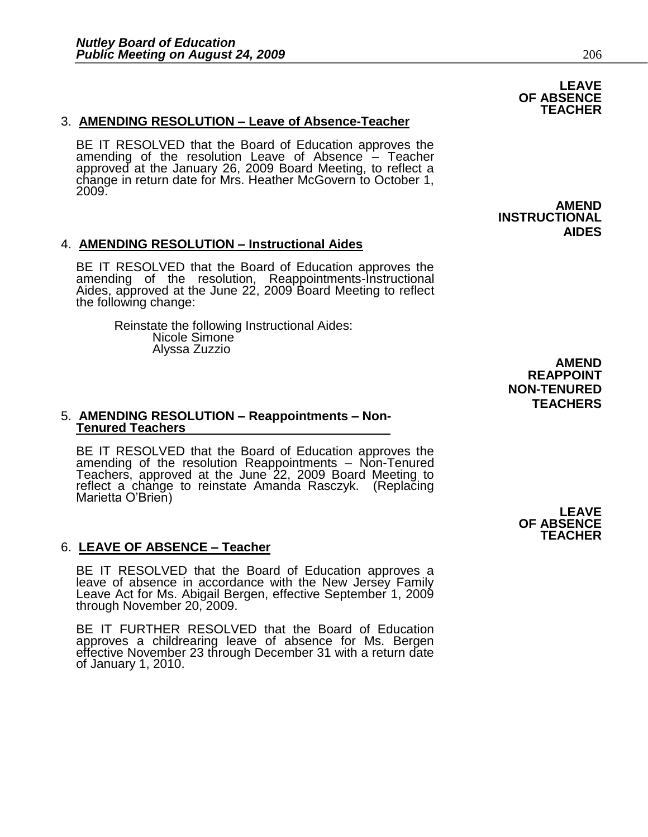### 3. **AMENDING RESOLUTION – Leave of Absence-Teacher**

BE IT RESOLVED that the Board of Education approves the amending of the resolution Leave of Absence – Teacher approved at the January 26, 2009 Board Meeting, to reflect a change in return date for Mrs. Heather McGovern to October 1, 2009.

### 4. **AMENDING RESOLUTION – Instructional Aides**

BE IT RESOLVED that the Board of Education approves the amending of the resolution, Reappointments-Instructional Aides, approved at the June 22, 2009 Board Meeting to reflect the following change:

> Reinstate the following Instructional Aides: Nicole Simone Alyssa Zuzzio

### 5. **AMENDING RESOLUTION – Reappointments – Non-Tenured Teachers**

BE IT RESOLVED that the Board of Education approves the amending of the resolution Reappointments – Non-Tenured Teachers, approved at the June 22, 2009 Board Meeting to reflect a change to reinstate Amanda Rasczyk. (Replacing Marietta O'Brien)

### 6. **LEAVE OF ABSENCE – Teacher**

BE IT RESOLVED that the Board of Education approves a leave of absence in accordance with the New Jersey Family Leave Act for Ms. Abigail Bergen, effective September 1, 2009 through November 20, 2009.

BE IT FURTHER RESOLVED that the Board of Education approves a childrearing leave of absence for Ms. Bergen effective November 23 through December 31 with a return date of January 1, 2010.

 **LEAVE OF ABSENCE TEACHER** 

### **LEAVE OF ABSENCE TEACHER**

 **AMEND INSTRUCTIONAL AIDES** 

### **AMEND REAPPOINT NON-TENURED TEACHERS**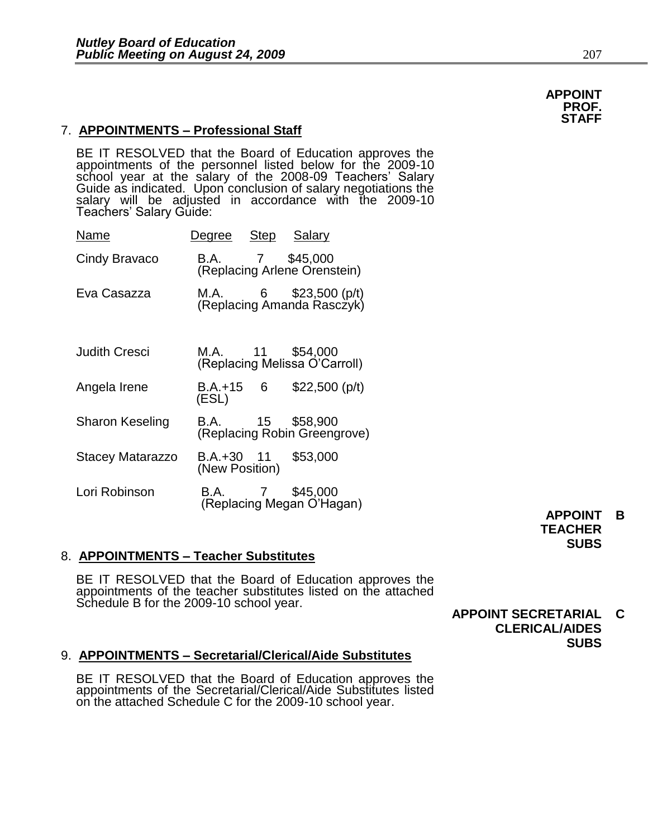### 7. **APPOINTMENTS – Professional Staff**

BE IT RESOLVED that the Board of Education approves the appointments of the personnel listed below for the 2009-10 school year at the salary of the 2008-09 Teachers' Salary Guide as indicated. Upon conclusion of salary negotiations the salary will be adjusted in accordance with the 2009-10 Teachers' Salary Guide:

| Name                   | Degree Step Salary           |                                                             |
|------------------------|------------------------------|-------------------------------------------------------------|
| Cindy Bravaco          |                              | B.A. 7 \$45,000<br>(Replacing Arlene Orenstein)             |
| Eva Casazza            |                              | M.A. $6\qquad$ \$23,500 (p/t)<br>(Replacing Amanda Rasc2yk) |
| <b>Judith Cresci</b>   |                              | M.A. 11 \$54,000<br>(Replacing Melissa O'Carroll)           |
| Angela Irene           | B.A.+15 6<br>(ESL)           | $$22,500$ (p/t)                                             |
| <b>Sharon Keseling</b> |                              | B.A. 15 \$58,900<br>(Replacing Robin Greengrove)            |
| Stacey Matarazzo       | B.A.+30 11<br>(New Position) | \$53,000                                                    |
| Lori Robinson          | <b>B.A.</b> 7                | \$45,000<br>(Replacing Megan O'Hagan)                       |

### 8. **APPOINTMENTS – Teacher Substitutes**

BE IT RESOLVED that the Board of Education approves the appointments of the teacher substitutes listed on the attached Schedule B for the 2009-10 school year.

### **APPOINT SECRETARIAL C CLERICAL/AIDES SUBS**

### 9. **APPOINTMENTS – Secretarial/Clerical/Aide Substitutes**

BE IT RESOLVED that the Board of Education approves the appointments of the Secretarial/Clerical/Aide Substitutes listed on the attached Schedule C for the 2009-10 school year.

 **APPOINT B TEACHER SUBS**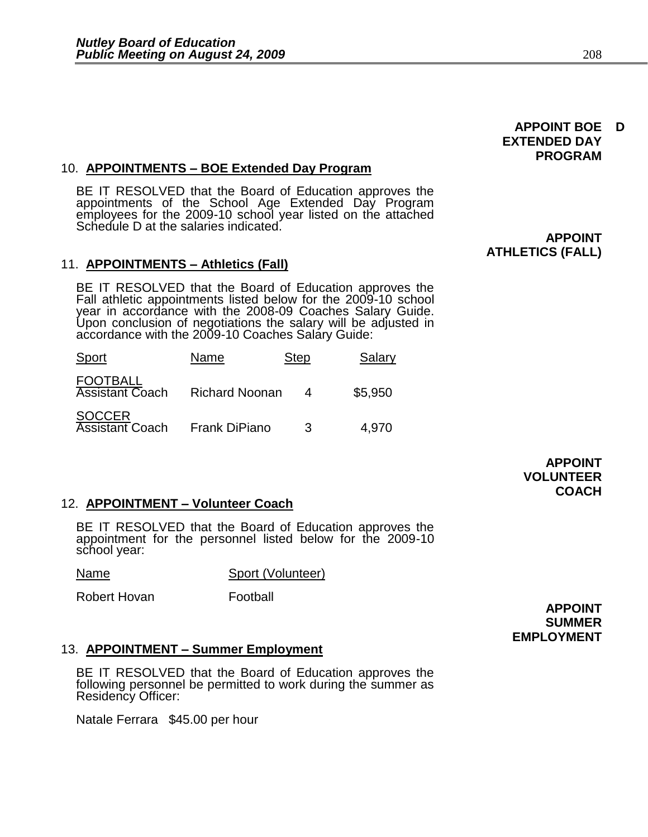### 10. **APPOINTMENTS – BOE Extended Day Program**

BE IT RESOLVED that the Board of Education approves the appointments of the School Age Extended Day Program employees for the 2009-10 school year listed on the attached Schedule D at the salaries indicated.

### 11. **APPOINTMENTS – Athletics (Fall)**

BE IT RESOLVED that the Board of Education approves the Fall athletic appointments listed below for the 2009-10 school year in accordance with the 2008-09 Coaches Salary Guide. Upon conclusion of negotiations the salary will be adjusted in accordance with the 2009-10 Coaches Salary Guide:

| Sport                                     | Name                  | <b>Step</b> | Salary  |
|-------------------------------------------|-----------------------|-------------|---------|
| <b>FOOTBALL</b><br><b>Assistant Coach</b> | <b>Richard Noonan</b> | Δ           | \$5,950 |
| <b>SOCCER</b><br><b>Assistant Coach</b>   | Frank DiPiano         | 3           | 4,970   |

 **APPOINT VOLUNTEER COACH** 

### 12. **APPOINTMENT – Volunteer Coach**

BE IT RESOLVED that the Board of Education approves the appointment for the personnel listed below for the 2009-10 school year:

Name Sport (Volunteer)

Robert Hovan **Football** 

 **APPOINT SUMMER EMPLOYMENT** 

### 13. **APPOINTMENT – Summer Employment**

BE IT RESOLVED that the Board of Education approves the following personnel be permitted to work during the summer as Residency Officer:

Natale Ferrara \$45.00 per hour

 **APPOINT BOE D** 

 **PROGRAM** 

 **EXTENDED DAY** 

### **APPOINT ATHLETICS (FALL)**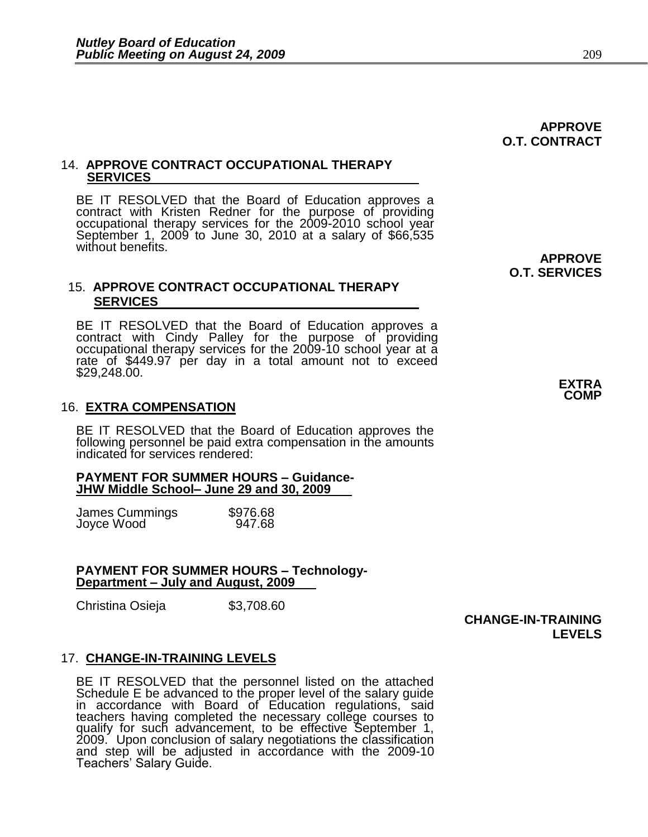## **APPROVE O.T. CONTRACT**

### 14. **APPROVE CONTRACT OCCUPATIONAL THERAPY SERVICES**

BE IT RESOLVED that the Board of Education approves a contract with Kristen Redner for the purpose of providing occupational therapy services for the 2009-2010 school year September 1, 2009 to June 30, 2010 at a salary of \$66,535 without benefits.

### 15. **APPROVE CONTRACT OCCUPATIONAL THERAPY SERVICES**

BE IT RESOLVED that the Board of Education approves a contract with Cindy Palley for the purpose of providing occupational therapy services for the 2009-10 school year at a rate of \$449.97 per day in a total amount not to exceed \$29,248.00.

### 16. **EXTRA COMPENSATION**

BE IT RESOLVED that the Board of Education approves the following personnel be paid extra compensation in the amounts indicated for services rendered:

### **PAYMENT FOR SUMMER HOURS – Guidance-JHW Middle School– June 29 and 30, 2009**

| James Cummings | \$976.68 |
|----------------|----------|
| Joyce Wood     | 947.68   |

### **PAYMENT FOR SUMMER HOURS – Technology-Department – July and August, 2009**

Christina Osieja  $$3,708.60$ 

### **CHANGE-IN-TRAINING LEVELS**

### 17. **CHANGE-IN-TRAINING LEVELS**

BE IT RESOLVED that the personnel listed on the attached Schedule E be advanced to the proper level of the salary guide in accordance with Board of Education regulations, said teachers having completed the necessary college courses to qualify for such advancement, to be effective September 1, 2009. Upon conclusion of salary negotiations the classification and step will be adjusted in accordance with the 2009-10 Teachers' Salary Guide.

 **APPROVE O.T. SERVICES** 

> **EXTRA COMP**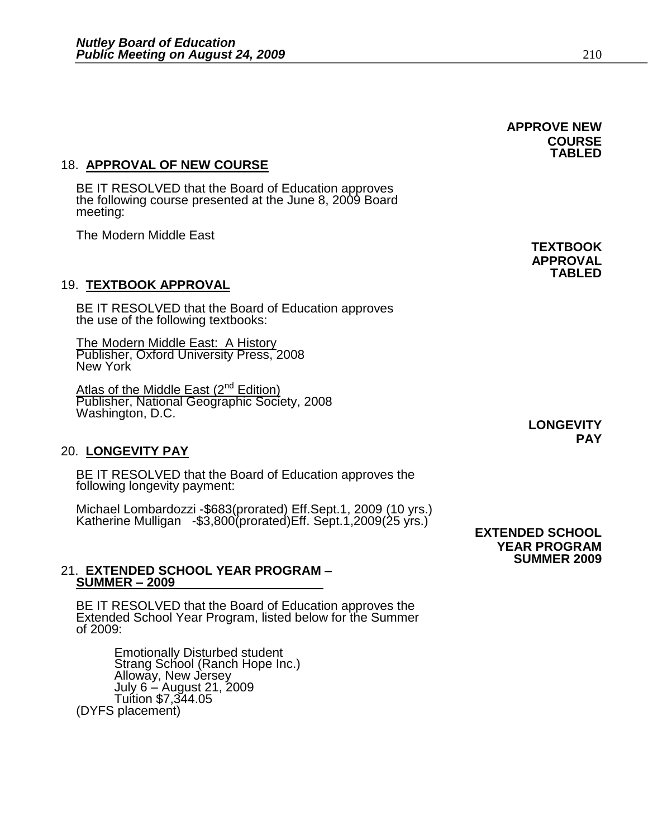**APPROVE NEW COURSE TABLED** 

### 18. **APPROVAL OF NEW COURSE**

BE IT RESOLVED that the Board of Education approves the following course presented at the June 8, 2009 Board meeting:

The Modern Middle East

### 19. **TEXTBOOK APPROVAL**

BE IT RESOLVED that the Board of Education approves the use of the following textbooks:

The Modern Middle East: A History Publisher, Oxford University Press, 2008 New York

Atlas of the Middle East (2<sup>nd</sup> Edition) Publisher, National Geographic Society, 2008 Washington, D.C.

### 20. **LONGEVITY PAY**

BE IT RESOLVED that the Board of Education approves the following longevity payment:

Michael Lombardozzi -\$683(prorated) Eff.Sept.1, 2009 (10 yrs.) Katherine Mulligan -\$3,800(prorated)Eff. Sept.1,2009(25 yrs.)

### 21. **EXTENDED SCHOOL YEAR PROGRAM – SUMMER – 2009**

BE IT RESOLVED that the Board of Education approves the Extended School Year Program, listed below for the Summer of 2009:

Emotionally Disturbed student Strang School (Ranch Hope Inc.) Alloway, New Jersey July 6 – August 21, 2009 Tuition \$7,344.05 (DYFS placement)

 **TEXTBOOK APPROVAL TABLED** 

 **LONGEVITY PAY** 

 **EXTENDED SCHOOL YEAR PROGRAM SUMMER 2009**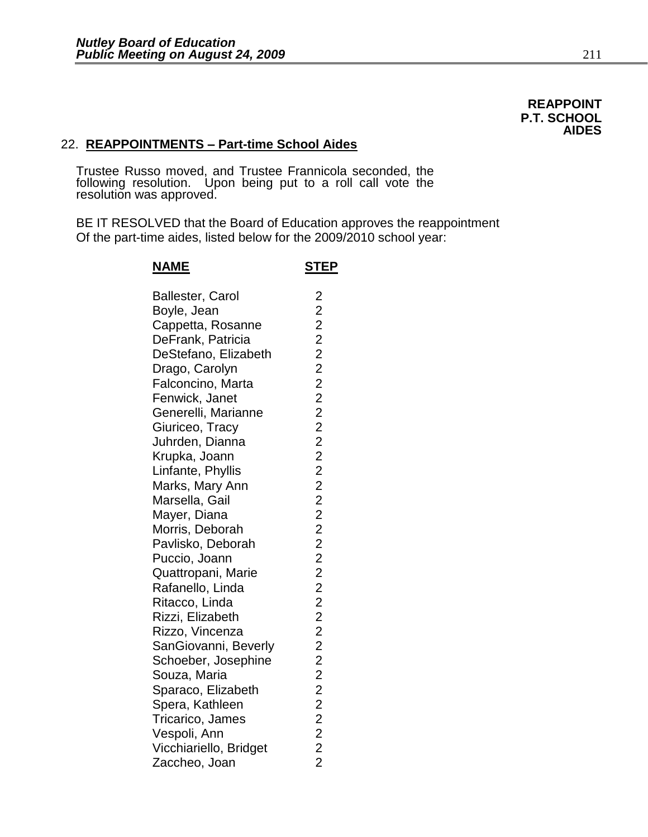### **REAPPOINT P.T. SCHOOL AIDES**

### 22. **REAPPOINTMENTS – Part-time School Aides**

Trustee Russo moved, and Trustee Frannicola seconded, the following resolution. Upon being put to a roll call vote the resolution was approved.

BE IT RESOLVED that the Board of Education approves the reappointment Of the part-time aides, listed below for the 2009/2010 school year:

| <u>NAME</u>             | <u>STEP</u> |
|-------------------------|-------------|
| <b>Ballester, Carol</b> |             |
| Boyle, Jean             |             |
| Cappetta, Rosanne       |             |
| DeFrank, Patricia       |             |
| DeStefano, Elizabeth    |             |
| Drago, Carolyn          |             |
| Falconcino, Marta       |             |
| Fenwick, Janet          |             |
| Generelli, Marianne     |             |
| Giuriceo, Tracy         |             |
| Juhrden, Dianna         |             |
| Krupka, Joann           |             |
| Linfante, Phyllis       |             |
| Marks, Mary Ann         |             |
| Marsella, Gail          |             |
| Mayer, Diana            |             |
| Morris, Deborah         |             |
| Pavlisko, Deborah       |             |
| Puccio, Joann           |             |
| Quattropani, Marie      |             |
| Rafanello, Linda        |             |
| Ritacco, Linda          |             |
| Rizzi, Elizabeth        |             |
| Rizzo, Vincenza         |             |
| SanGiovanni, Beverly    |             |
| Schoeber, Josephine     |             |
| Souza, Maria            |             |
| Sparaco, Elizabeth      |             |
| Spera, Kathleen         |             |
| Tricarico, James        |             |
| Vespoli, Ann            |             |
| Vicchiariello, Bridget  |             |
| Zaccheo, Joan           |             |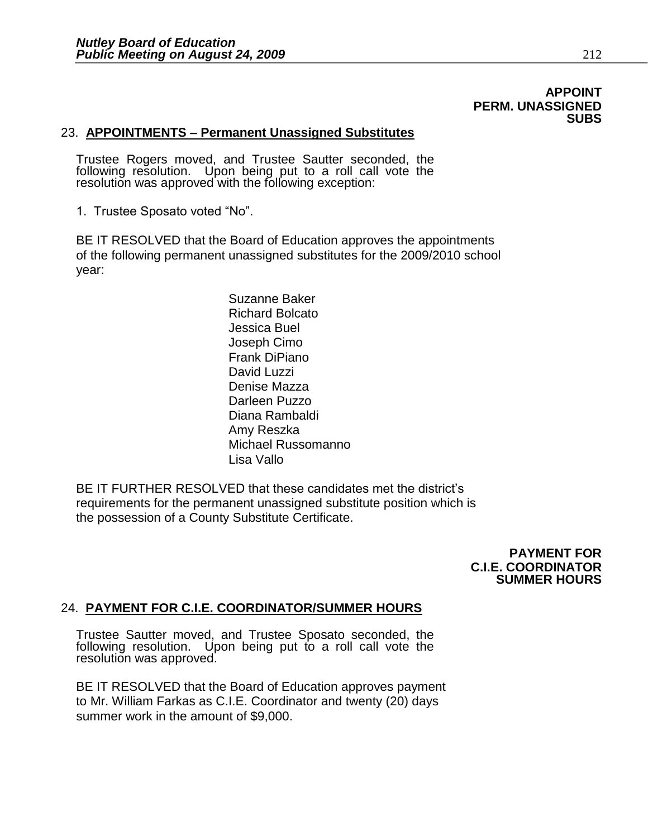### **APPOINT PERM. UNASSIGNED SUBS**

### 23. **APPOINTMENTS – Permanent Unassigned Substitutes**

Trustee Rogers moved, and Trustee Sautter seconded, the following resolution. Upon being put to a roll call vote the resolution was approved with the following exception:

1. Trustee Sposato voted "No".

BE IT RESOLVED that the Board of Education approves the appointments of the following permanent unassigned substitutes for the 2009/2010 school year:

> Suzanne Baker Richard Bolcato Jessica Buel Joseph Cimo Frank DiPiano David Luzzi Denise Mazza Darleen Puzzo Diana Rambaldi Amy Reszka Michael Russomanno Lisa Vallo

BE IT FURTHER RESOLVED that these candidates met the district's requirements for the permanent unassigned substitute position which is the possession of a County Substitute Certificate.

> **PAYMENT FOR C.I.E. COORDINATOR SUMMER HOURS**

### 24. **PAYMENT FOR C.I.E. COORDINATOR/SUMMER HOURS**

Trustee Sautter moved, and Trustee Sposato seconded, the following resolution. Upon being put to a roll call vote the resolution was approved.

BE IT RESOLVED that the Board of Education approves payment to Mr. William Farkas as C.I.E. Coordinator and twenty (20) days summer work in the amount of \$9,000.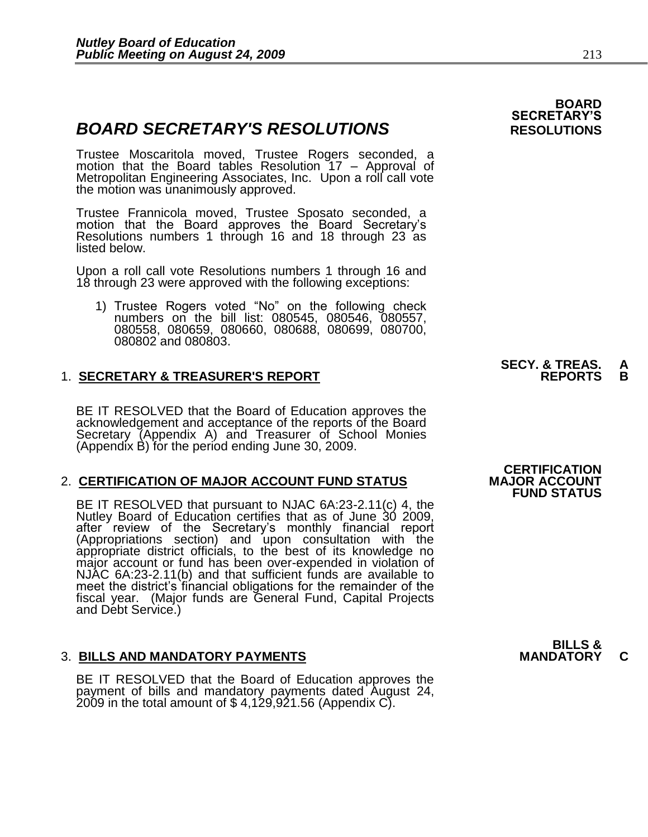## **BOARD SECRETARY'S RESOLUTIONS** RESOLUTIONS

Trustee Moscaritola moved, Trustee Rogers seconded, a motion that the Board tables Resolution 17 – Approval of Metropolitan Engineering Associates, Inc. Upon a roll call vote the motion was unanimously approved.

Trustee Frannicola moved, Trustee Sposato seconded, a motion that the Board approves the Board Secretary's Resolutions numbers 1 through 16 and 18 through 23 as listed below.

Upon a roll call vote Resolutions numbers 1 through 16 and 18 through 23 were approved with the following exceptions:

1) Trustee Rogers voted "No" on the following check numbers on the bill list: 080545, 080546, 080557, 080558, 080659, 080660, 080688, 080699, 080700, 080802 and 080803.

### **1. SECRETARY & TREASURER'S REPORT**

BE IT RESOLVED that the Board of Education approves the acknowledgement and acceptance of the reports of the Board Secretary (Appendix A) and Treasurer of School Monies (Appendix B) for the period ending June 30, 2009.

### 2. **CERTIFICATION OF MAJOR ACCOUNT FUND STATUS**

BE IT RESOLVED that pursuant to NJAC 6A:23-2.11(c) 4, the Nutley Board of Education certifies that as of June 30 2009, after review of the Secretary's monthly financial report (Appropriations section) and upon consultation with the appropriate district officials, to the best of its knowledge no major account or fund has been over-expended in violation of NJAC 6A:23-2.11(b) and that sufficient funds are available to meet the district's financial obligations for the remainder of the fiscal year. (Major funds are General Fund, Capital Projects and Debt Service.)

### **3. BILLS AND MANDATORY PAYMENTS**

BE IT RESOLVED that the Board of Education approves the payment of bills and mandatory payments dated August 24, 2009 in the total amount of  $$4,129,921.56$  (Appendix C).

## **BOARD SECRETARY'S**

# **SECY. & TREAS. A**

## **CERTIFICATION FUND STATUS**

**BILLS &**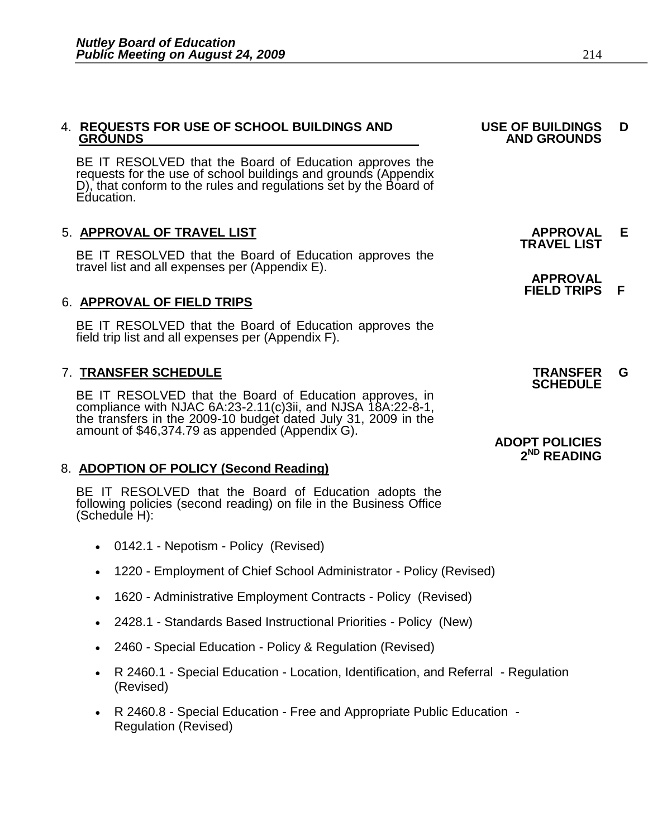### 4. **REQUESTS FOR USE OF SCHOOL BUILDINGS AND USE OF BUILDINGS D GROUNDS** AND GROUNDS AND GROUNDS AND GROUNDS

BE IT RESOLVED that the Board of Education approves the requests for the use of school buildings and grounds (Appendix D), that conform to the rules and regulations set by the Board of Education.

### 5. **APPROVAL OF TRAVEL LIST APPROVAL E**

BE IT RESOLVED that the Board of Education approves the travel list and all expenses per (Appendix E).

### 6. **APPROVAL OF FIELD TRIPS**

 BE IT RESOLVED that the Board of Education approves the field trip list and all expenses per (Appendix F).

## 7. **TRANSFER SCHEDULE TRANSFER G**

BE IT RESOLVED that the Board of Education approves, in compliance with NJAC 6A:23-2.11(c)3ii, and NJSA 18A:22-8-1, the transfers in the 2009-10 budget dated July 31, 2009 in the amount of \$46,374.79 as appended (Appendix G).

### 8. **ADOPTION OF POLICY (Second Reading)**

BE IT RESOLVED that the Board of Education adopts the following policies (second reading) on file in the Business Office (Schedule H):

- 0142.1 Nepotism Policy (Revised)
- 1220 Employment of Chief School Administrator Policy (Revised)
- 1620 Administrative Employment Contracts Policy (Revised)
- 2428.1 Standards Based Instructional Priorities Policy (New)
- 2460 Special Education Policy & Regulation (Revised)
- R 2460.1 Special Education Location, Identification, and Referral Regulation (Revised)
- R 2460.8 Special Education Free and Appropriate Public Education Regulation (Revised)

# **TRAVEL LIST**

 **APPROVAL FIELD TRIPS F** 

**SCHEDULE** 

### **ADOPT POLICIES 2 ND READING**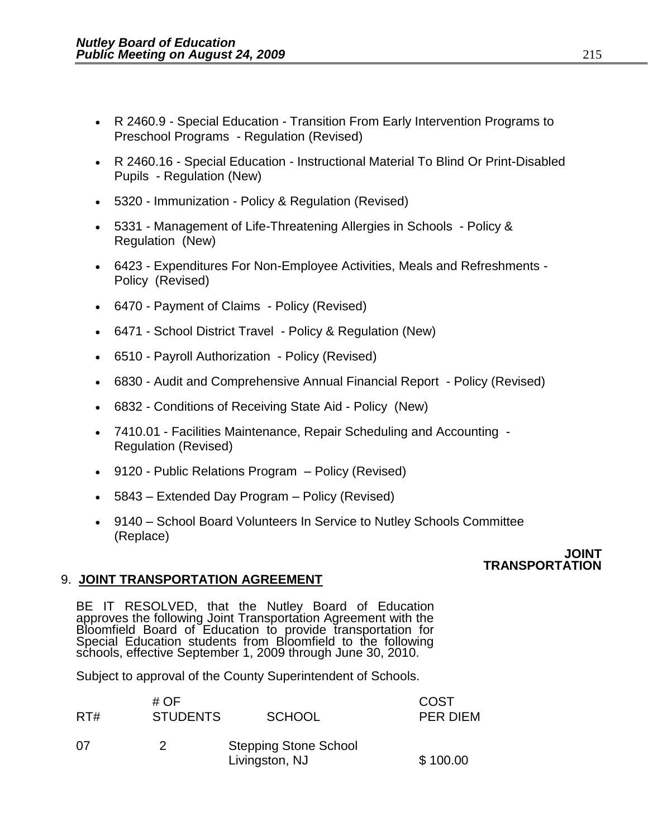- R 2460.9 Special Education Transition From Early Intervention Programs to Preschool Programs - Regulation (Revised)
- R 2460.16 Special Education Instructional Material To Blind Or Print-Disabled Pupils - Regulation (New)
- 5320 Immunization Policy & Regulation (Revised)
- 5331 Management of Life-Threatening Allergies in Schools Policy & Regulation (New)
- 6423 Expenditures For Non-Employee Activities, Meals and Refreshments Policy (Revised)
- 6470 Payment of Claims Policy (Revised)
- 6471 School District Travel Policy & Regulation (New)
- 6510 Payroll Authorization Policy (Revised)
- 6830 Audit and Comprehensive Annual Financial Report Policy (Revised)
- 6832 Conditions of Receiving State Aid Policy (New)
- 7410.01 Facilities Maintenance, Repair Scheduling and Accounting Regulation (Revised)
- 9120 Public Relations Program Policy (Revised)
- 5843 Extended Day Program Policy (Revised)
- 9140 School Board Volunteers In Service to Nutley Schools Committee (Replace)

### **JOINT TRANSPORTATION**

### 9. **JOINT TRANSPORTATION AGREEMENT**

BE IT RESOLVED, that the Nutley Board of Education approves the following Joint Transportation Agreement with the Bloomfield Board of Education to provide transportation for Special Education students from Bloomfield to the following schools, effective September 1, 2009 through June 30, 2010.

Subject to approval of the County Superintendent of Schools.

| RT# | # OF<br><b>STUDENTS</b> | <b>SCHOOL</b>                                  | COST<br>PER DIEM |
|-----|-------------------------|------------------------------------------------|------------------|
| 07  | 2                       | <b>Stepping Stone School</b><br>Livingston, NJ | \$100.00         |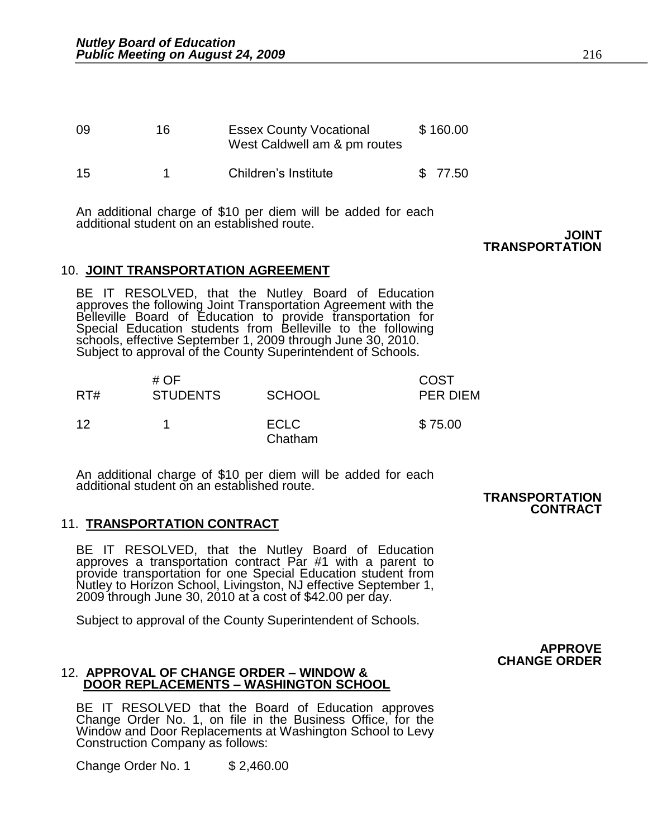| 09 | 16. | <b>Essex County Vocational</b><br>West Caldwell am & pm routes | \$160.00 |
|----|-----|----------------------------------------------------------------|----------|
| 15 |     | Children's Institute                                           | \$ 77.50 |

An additional charge of \$10 per diem will be added for each additional student on an established route.

**JOINT TRANSPORTATION** 

### 10. **JOINT TRANSPORTATION AGREEMENT**

BE IT RESOLVED, that the Nutley Board of Education approves the following Joint Transportation Agreement with the Belleville Board of Education to provide transportation for Special Education students from Belleville to the following schools, effective September 1, 2009 through June 30, 2010. Subject to approval of the County Superintendent of Schools.

| RT# | # $OF$<br><b>STUDENTS</b> | <b>SCHOOL</b>          | <b>COST</b><br><b>PER DIEM</b> |
|-----|---------------------------|------------------------|--------------------------------|
| 12  |                           | <b>ECLC</b><br>Chatham | \$75.00                        |

An additional charge of \$10 per diem will be added for each additional student on an established route.

 **TRANSPORTATION CONTRACT** 

### 11. **TRANSPORTATION CONTRACT**

BE IT RESOLVED, that the Nutley Board of Education approves a transportation contract Par #1 with a parent to provide transportation for one Special Education student from Nutley to Horizon School, Livingston, NJ effective September 1, 2009 through June 30, 2010 at a cost of \$42.00 per day.

Subject to approval of the County Superintendent of Schools.

**APPROVE CHANGE ORDER** 

### 12. **APPROVAL OF CHANGE ORDER – WINDOW & DOOR REPLACEMENTS – WASHINGTON SCHOOL**

BE IT RESOLVED that the Board of Education approves Change Order No. 1, on file in the Business Office, for the Window and Door Replacements at Washington School to Levy Construction Company as follows:

Change Order No. 1 \$2,460.00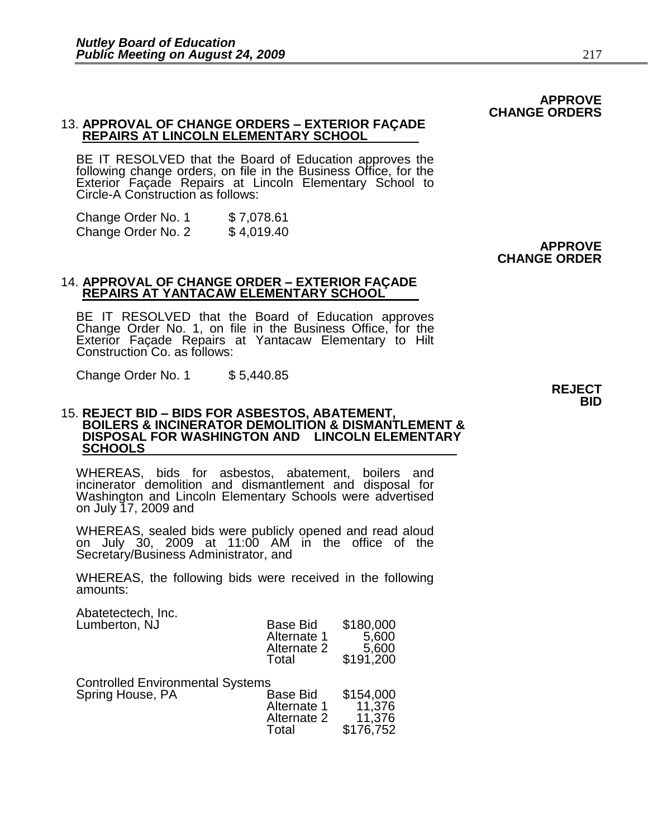### 13. **APPROVAL OF CHANGE ORDERS – EXTERIOR FAÇADE REPAIRS AT LINCOLN ELEMENTARY SCHOOL**

BE IT RESOLVED that the Board of Education approves the following change orders, on file in the Business Office, for the Exterior Façade Repairs at Lincoln Elementary School to Circle-A Construction as follows:

Change Order No. 1 \$ 7,078.61<br>Change Order No. 2 \$ 4,019.40 Change Order No. 2

### 14. **APPROVAL OF CHANGE ORDER – EXTERIOR FAÇADE REPAIRS AT YANTACAW ELEMENTARY SCHOOL**

BE IT RESOLVED that the Board of Education approves Change Order No. 1, on file in the Business Office, for the Exterior Façade Repairs at Yantacaw Elementary to Hilt Construction Co. as follows:

Change Order No. 1 \$ 5,440.85

### 15. **REJECT BID – BIDS FOR ASBESTOS, ABATEMENT, BOILERS & INCINERATOR DEMOLITION & DISMANTLEMENT & DISPOSAL FOR WASHINGTON AND LINCOLN ELEMENTARY SCHOOLS**

WHEREAS, bids for asbestos, abatement, boilers and incinerator demolition and dismantlement and disposal for Washington and Lincoln Elementary Schools were advertised on July 17, 2009 and

WHEREAS, sealed bids were publicly opened and read aloud on July 30, 2009 at 11:00 AM in the office of the Secretary/Business Administrator, and

WHEREAS, the following bids were received in the following amounts:

Abatetectech, Inc. Lumberton, NJ Base Bid \$180,000

| בשוווטטונטוו, ו זט                                          | וטוש טשש<br>Alternate 1<br>Alternate 2<br>Total        | <b>UIUU.</b> UUU<br>5,600<br>5,600<br>\$191,200 |
|-------------------------------------------------------------|--------------------------------------------------------|-------------------------------------------------|
| <b>Controlled Environmental Systems</b><br>Spring House, PA | <b>Base Bid</b><br>Alternate 1<br>Alternate 2<br>Total | \$154,000<br>11,376<br>11,376<br>\$176,752      |

**APPROVE** 

**CHANGE ORDER**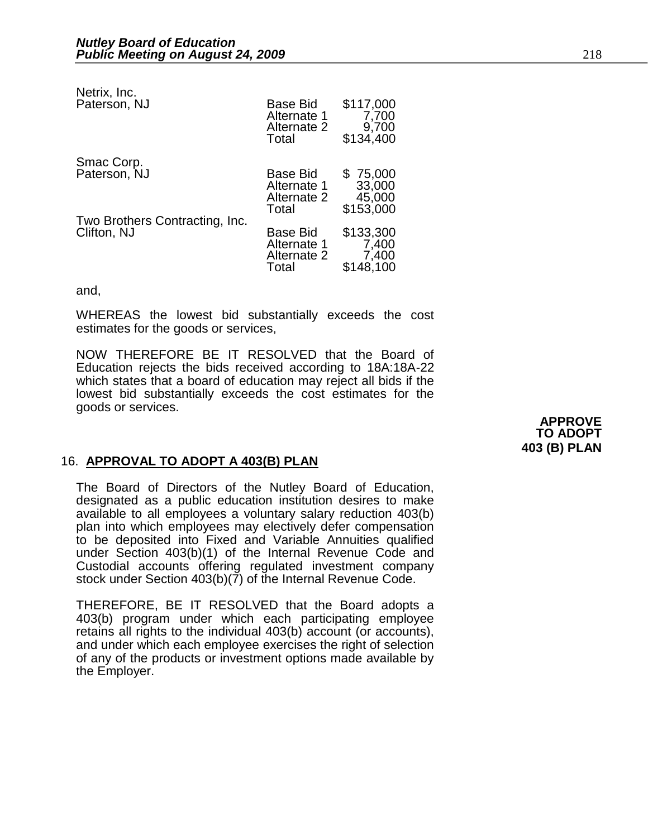| Netrix, Inc.<br>Paterson, NJ                  | Base Bid<br>Alternate 1<br>Alternate 2<br>Total        | \$117,000<br>7,700<br>9,700<br>\$134,400  |
|-----------------------------------------------|--------------------------------------------------------|-------------------------------------------|
| Smac Corp.<br>Paterson, NJ                    | Base Bid<br>Alternate 1<br>Alternate 2<br>Total        | \$75,000<br>33,000<br>45,000<br>\$153,000 |
| Two Brothers Contracting, Inc.<br>Clifton, NJ | <b>Base Bid</b><br>Alternate 1<br>Alternate 2<br>Total | \$133,300<br>7,400<br>7,400<br>\$148,100  |

and,

WHEREAS the lowest bid substantially exceeds the cost estimates for the goods or services,

NOW THEREFORE BE IT RESOLVED that the Board of Education rejects the bids received according to 18A:18A-22 which states that a board of education may reject all bids if the lowest bid substantially exceeds the cost estimates for the goods or services.

> **APPROVE TO ADOPT 403 (B) PLAN**

### 16. **APPROVAL TO ADOPT A 403(B) PLAN**

The Board of Directors of the Nutley Board of Education, designated as a public education institution desires to make available to all employees a voluntary salary reduction 403(b) plan into which employees may electively defer compensation to be deposited into Fixed and Variable Annuities qualified under Section 403(b)(1) of the Internal Revenue Code and Custodial accounts offering regulated investment company stock under Section 403(b)(7) of the Internal Revenue Code.

THEREFORE, BE IT RESOLVED that the Board adopts a 403(b) program under which each participating employee retains all rights to the individual 403(b) account (or accounts), and under which each employee exercises the right of selection of any of the products or investment options made available by the Employer.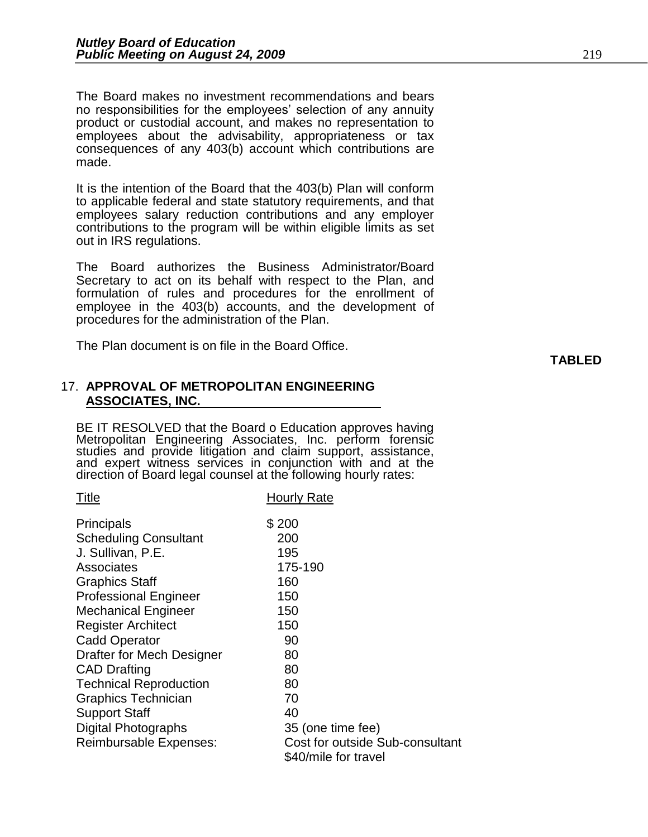The Board makes no investment recommendations and bears no responsibilities for the employees' selection of any annuity product or custodial account, and makes no representation to employees about the advisability, appropriateness or tax consequences of any 403(b) account which contributions are made.

It is the intention of the Board that the 403(b) Plan will conform to applicable federal and state statutory requirements, and that employees salary reduction contributions and any employer contributions to the program will be within eligible limits as set out in IRS regulations.

The Board authorizes the Business Administrator/Board Secretary to act on its behalf with respect to the Plan, and formulation of rules and procedures for the enrollment of employee in the 403(b) accounts, and the development of procedures for the administration of the Plan.

The Plan document is on file in the Board Office.

### 17. **APPROVAL OF METROPOLITAN ENGINEERING ASSOCIATES, INC.**

BE IT RESOLVED that the Board o Education approves having Metropolitan Engineering Associates, Inc. perform forensic studies and provide litigation and claim support, assistance, and expert witness services in conjunction with and at the direction of Board legal counsel at the following hourly rates:

| Title                         | Hourly Rate                     |
|-------------------------------|---------------------------------|
| <b>Principals</b>             | \$200                           |
| <b>Scheduling Consultant</b>  | 200                             |
| J. Sullivan, P.E.             | 195                             |
| Associates                    | 175-190                         |
| <b>Graphics Staff</b>         | 160                             |
| <b>Professional Engineer</b>  | 150                             |
| <b>Mechanical Engineer</b>    | 150                             |
| <b>Register Architect</b>     | 150                             |
| <b>Cadd Operator</b>          | 90                              |
| Drafter for Mech Designer     | 80                              |
| <b>CAD Drafting</b>           | 80                              |
| <b>Technical Reproduction</b> | 80                              |
| <b>Graphics Technician</b>    | 70                              |
| <b>Support Staff</b>          | 40                              |
| <b>Digital Photographs</b>    | 35 (one time fee)               |
| Reimbursable Expenses:        | Cost for outside Sub-consultant |
|                               | \$40/mile for travel            |

**TABLED**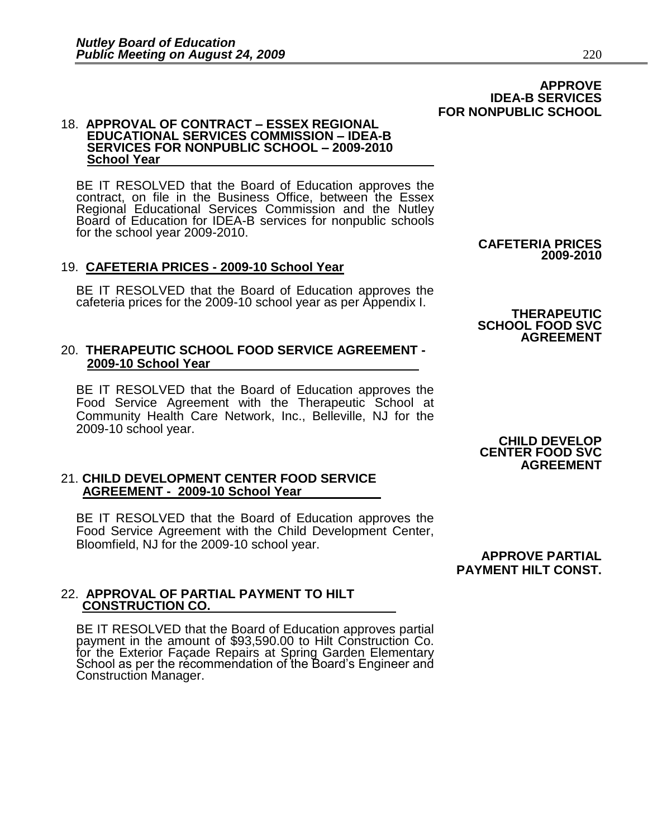### 18. **APPROVAL OF CONTRACT – ESSEX REGIONAL EDUCATIONAL SERVICES COMMISSION – IDEA-B SERVICES FOR NONPUBLIC SCHOOL – 2009-2010 School Year**

BE IT RESOLVED that the Board of Education approves the contract, on file in the Business Office, between the Essex Regional Educational Services Commission and the Nutley Board of Education for IDEA-B services for nonpublic schools for the school year 2009-2010.

### 19. **CAFETERIA PRICES - 2009-10 School Year**

BE IT RESOLVED that the Board of Education approves the cafeteria prices for the 2009-10 school year as per Appendix I.

### 20. **THERAPEUTIC SCHOOL FOOD SERVICE AGREEMENT - 2009-10 School Year**

BE IT RESOLVED that the Board of Education approves the Food Service Agreement with the Therapeutic School at Community Health Care Network, Inc., Belleville, NJ for the 2009-10 school year.

### 21. **CHILD DEVELOPMENT CENTER FOOD SERVICE AGREEMENT - 2009-10 School Year**

BE IT RESOLVED that the Board of Education approves the Food Service Agreement with the Child Development Center, Bloomfield, NJ for the 2009-10 school year.

### 22. **APPROVAL OF PARTIAL PAYMENT TO HILT CONSTRUCTION CO.**

BE IT RESOLVED that the Board of Education approves partial payment in the amount of \$93,590.00 to Hilt Construction Co. for the Exterior Façade Repairs at Spring Garden Elementary School as per the recommendation of the Board's Engineer and Construction Manager.

**CHILD DEVELOP CENTER FOOD SVC AGREEMENT**

**CAFETERIA PRICES 2009-2010**

**THERAPEUTIC SCHOOL FOOD SVC**

**AGREEMENT** 

**APPROVE PARTIAL PAYMENT HILT CONST.** 

### **APPROVE IDEA-B SERVICES FOR NONPUBLIC SCHOOL**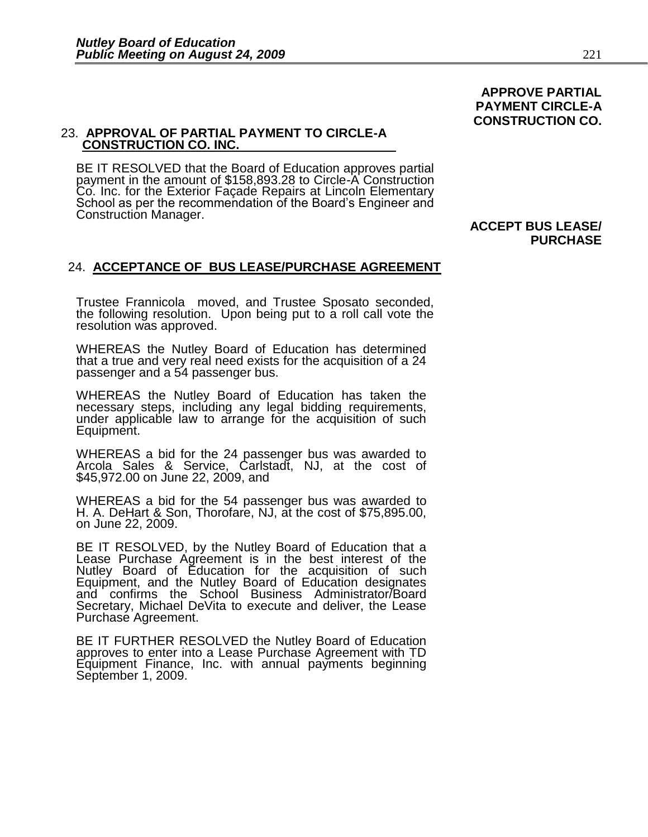### 23. **APPROVAL OF PARTIAL PAYMENT TO CIRCLE-A CONSTRUCTION CO. INC.**

BE IT RESOLVED that the Board of Education approves partial payment in the amount of \$158,893.28 to Circle-A Construction Co. Inc. for the Exterior Façade Repairs at Lincoln Elementary School as per the recommendation of the Board's Engineer and Construction Manager.

### 24. **ACCEPTANCE OF BUS LEASE/PURCHASE AGREEMENT**

Trustee Frannicola moved, and Trustee Sposato seconded, the following resolution. Upon being put to a roll call vote the resolution was approved.

WHEREAS the Nutley Board of Education has determined that a true and very real need exists for the acquisition of a 24 passenger and a 54 passenger bus.

WHEREAS the Nutley Board of Education has taken the necessary steps, including any legal bidding requirements, under applicable law to arrange for the acquisition of such Equipment.

WHEREAS a bid for the 24 passenger bus was awarded to Arcola Sales & Service, Carlstadt, NJ, at the cost of \$45,972.00 on June 22, 2009, and

WHEREAS a bid for the 54 passenger bus was awarded to H. A. DeHart & Son, Thorofare, NJ, at the cost of \$75,895.00, on June 22, 2009.

BE IT RESOLVED, by the Nutley Board of Education that a Lease Purchase Agreement is in the best interest of the Nutley Board of Education for the acquisition of such Equipment, and the Nutley Board of Education designates and confirms the School Business Administrator/Board Secretary, Michael DeVita to execute and deliver, the Lease Purchase Agreement.

BE IT FURTHER RESOLVED the Nutley Board of Education approves to enter into a Lease Purchase Agreement with TD Equipment Finance, Inc. with annual payments beginning September 1, 2009.

### **ACCEPT BUS LEASE/ PURCHASE**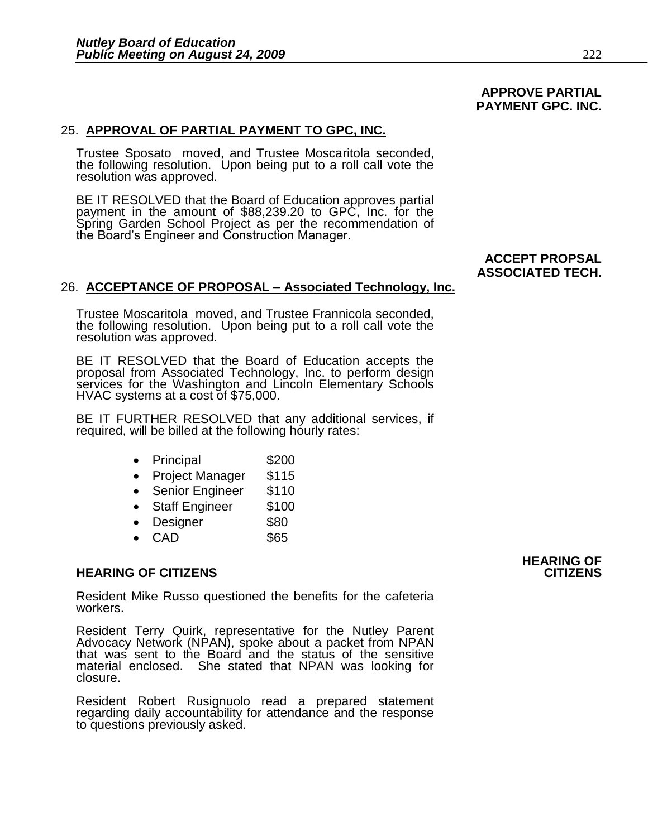### **APPROVE PARTIAL PAYMENT GPC. INC.**

### 25. **APPROVAL OF PARTIAL PAYMENT TO GPC, INC.**

Trustee Sposato moved, and Trustee Moscaritola seconded, the following resolution. Upon being put to a roll call vote the resolution was approved.

BE IT RESOLVED that the Board of Education approves partial payment in the amount of \$88,239.20 to GPC, Inc. for the Spring Garden School Project as per the recommendation of the Board's Engineer and Construction Manager.

### **ACCEPT PROPSAL ASSOCIATED TECH.**

### 26. **ACCEPTANCE OF PROPOSAL – Associated Technology, Inc.**

Trustee Moscaritola moved, and Trustee Frannicola seconded, the following resolution. Upon being put to a roll call vote the resolution was approved.

BE IT RESOLVED that the Board of Education accepts the proposal from Associated Technology, Inc. to perform design services for the Washington and Lincoln Elementary Schools HVAC systems at a cost of \$75,000.

BE IT FURTHER RESOLVED that any additional services, if required, will be billed at the following hourly rates:

- Principal \$200
- Project Manager \$115
- Senior Engineer \$110
- Staff Engineer \$100
- Designer \$80
- $\bullet$  CAD  $$65$

### **HEARING OF CITIZENS CITIZENS**

Resident Mike Russo questioned the benefits for the cafeteria workers.

Resident Terry Quirk, representative for the Nutley Parent Advocacy Network (NPAN), spoke about a packet from NPAN that was sent to the Board and the status of the sensitive material enclosed. She stated that NPAN was looking for closure.

Resident Robert Rusignuolo read a prepared statement regarding daily accountability for attendance and the response to questions previously asked.

# **HEARING OF**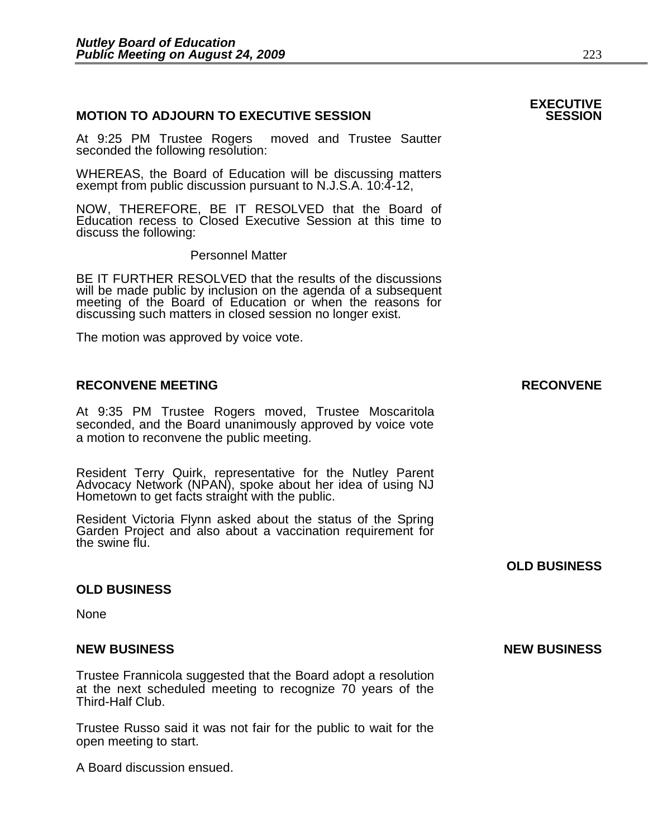### **MOTION TO ADJOURN TO EXECUTIVE SESSION**

At 9:25 PM Trustee Rogers moved and Trustee Sautter seconded the following resolution:

WHEREAS, the Board of Education will be discussing matters exempt from public discussion pursuant to N.J.S.A. 10:4-12,

NOW, THEREFORE, BE IT RESOLVED that the Board of Education recess to Closed Executive Session at this time to discuss the following:

Personnel Matter

BE IT FURTHER RESOLVED that the results of the discussions will be made public by inclusion on the agenda of a subsequent meeting of the Board of Education or when the reasons for discussing such matters in closed session no longer exist.

The motion was approved by voice vote.

### **RECONVENE MEETING RECONVENE**

At 9:35 PM Trustee Rogers moved, Trustee Moscaritola seconded, and the Board unanimously approved by voice vote a motion to reconvene the public meeting.

Resident Terry Quirk, representative for the Nutley Parent Advocacy Network (NPAN), spoke about her idea of using NJ Hometown to get facts straight with the public.

Resident Victoria Flynn asked about the status of the Spring Garden Project and also about a vaccination requirement for the swine flu.

### **OLD BUSINESS**

**None** 

### **NEW BUSINESS NEW BUSINESS**

Trustee Frannicola suggested that the Board adopt a resolution at the next scheduled meeting to recognize 70 years of the Third-Half Club.

Trustee Russo said it was not fair for the public to wait for the open meeting to start.

A Board discussion ensued.

**OLD BUSINESS** 

# **EXECUTIVE**